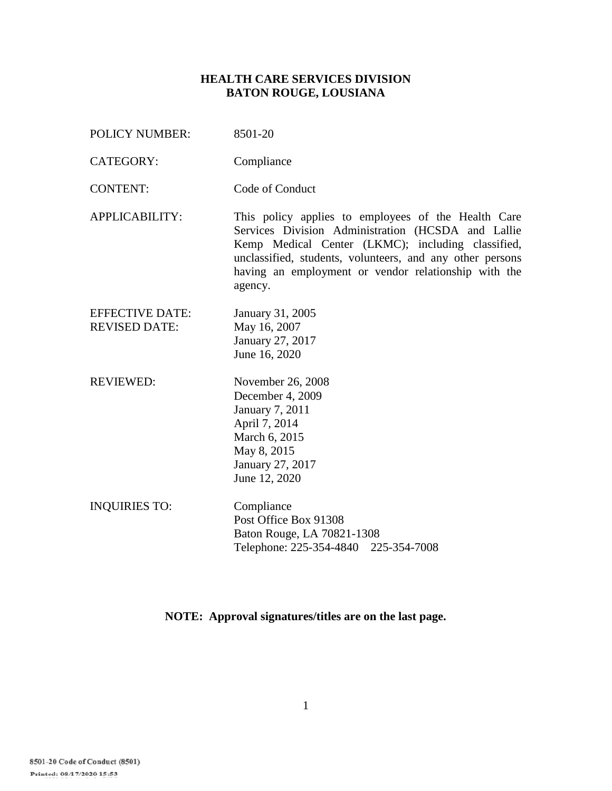## **HEALTH CARE SERVICES DIVISION BATON ROUGE, LOUSIANA**

POLICY NUMBER: 8501-20 CATEGORY: Compliance CONTENT: Code of Conduct APPLICABILITY: This policy applies to employees of the Health Care Services Division Administration (HCSDA and Lallie Kemp Medical Center (LKMC); including classified, unclassified, students, volunteers, and any other persons having an employment or vendor relationship with the agency. EFFECTIVE DATE: January 31, 2005 REVISED DATE: May 16, 2007 January 27, 2017 June 16, 2020 REVIEWED: November 26, 2008 December 4, 2009 January 7, 2011 April 7, 2014 March 6, 2015 May 8, 2015 January 27, 2017 June 12, 2020 INQUIRIES TO: Compliance Post Office Box 91308 Baton Rouge, LA 70821-1308 Telephone: 225-354-4840 225-354-7008

**NOTE: Approval signatures/titles are on the last page.**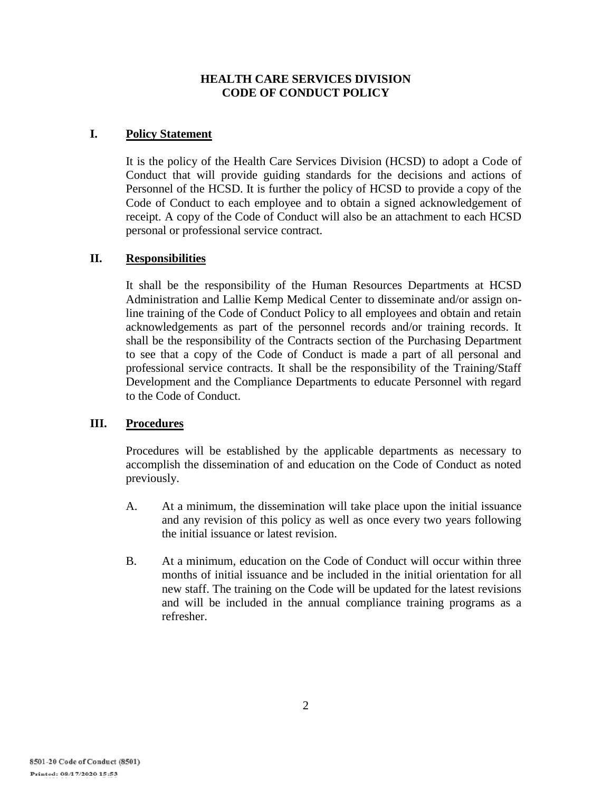# **HEALTH CARE SERVICES DIVISION CODE OF CONDUCT POLICY**

# **I. Policy Statement**

It is the policy of the Health Care Services Division (HCSD) to adopt a Code of Conduct that will provide guiding standards for the decisions and actions of Personnel of the HCSD. It is further the policy of HCSD to provide a copy of the Code of Conduct to each employee and to obtain a signed acknowledgement of receipt. A copy of the Code of Conduct will also be an attachment to each HCSD personal or professional service contract.

## **II. Responsibilities**

It shall be the responsibility of the Human Resources Departments at HCSD Administration and Lallie Kemp Medical Center to disseminate and/or assign online training of the Code of Conduct Policy to all employees and obtain and retain acknowledgements as part of the personnel records and/or training records. It shall be the responsibility of the Contracts section of the Purchasing Department to see that a copy of the Code of Conduct is made a part of all personal and professional service contracts. It shall be the responsibility of the Training/Staff Development and the Compliance Departments to educate Personnel with regard to the Code of Conduct.

## **III. Procedures**

Procedures will be established by the applicable departments as necessary to accomplish the dissemination of and education on the Code of Conduct as noted previously.

- A. At a minimum, the dissemination will take place upon the initial issuance and any revision of this policy as well as once every two years following the initial issuance or latest revision.
- B. At a minimum, education on the Code of Conduct will occur within three months of initial issuance and be included in the initial orientation for all new staff. The training on the Code will be updated for the latest revisions and will be included in the annual compliance training programs as a refresher.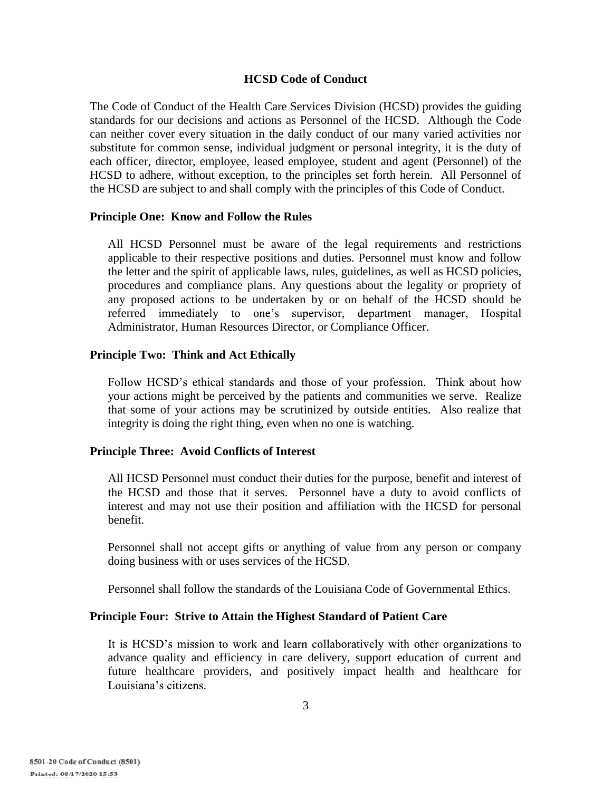#### **HCSD Code of Conduct**

The Code of Conduct of the Health Care Services Division (HCSD) provides the guiding standards for our decisions and actions as Personnel of the HCSD. Although the Code can neither cover every situation in the daily conduct of our many varied activities nor substitute for common sense, individual judgment or personal integrity, it is the duty of each officer, director, employee, leased employee, student and agent (Personnel) of the HCSD to adhere, without exception, to the principles set forth herein. All Personnel of the HCSD are subject to and shall comply with the principles of this Code of Conduct.

#### **Principle One: Know and Follow the Rules**

All HCSD Personnel must be aware of the legal requirements and restrictions applicable to their respective positions and duties. Personnel must know and follow the letter and the spirit of applicable laws, rules, guidelines, as well as HCSD policies, procedures and compliance plans. Any questions about the legality or propriety of any proposed actions to be undertaken by or on behalf of the HCSD should be referred immediately to one's supervisor, department manager, Hospital Administrator, Human Resources Director, or Compliance Officer.

#### **Principle Two: Think and Act Ethically**

Follow HCSD's ethical standards and those of your profession. Think about how your actions might be perceived by the patients and communities we serve. Realize that some of your actions may be scrutinized by outside entities. Also realize that integrity is doing the right thing, even when no one is watching.

## **Principle Three: Avoid Conflicts of Interest**

All HCSD Personnel must conduct their duties for the purpose, benefit and interest of the HCSD and those that it serves. Personnel have a duty to avoid conflicts of interest and may not use their position and affiliation with the HCSD for personal benefit.

Personnel shall not accept gifts or anything of value from any person or company doing business with or uses services of the HCSD.

Personnel shall follow the standards of the Louisiana Code of Governmental Ethics.

## **Principle Four: Strive to Attain the Highest Standard of Patient Care**

It is HCSD's mission to work and learn collaboratively with other organizations to advance quality and efficiency in care delivery, support education of current and future healthcare providers, and positively impact health and healthcare for Louisiana's citizens.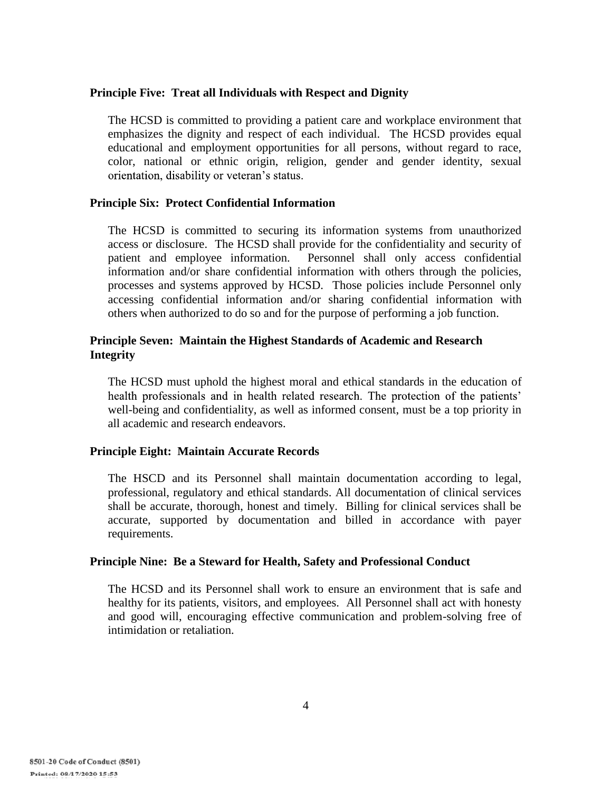#### **Principle Five: Treat all Individuals with Respect and Dignity**

The HCSD is committed to providing a patient care and workplace environment that emphasizes the dignity and respect of each individual. The HCSD provides equal educational and employment opportunities for all persons, without regard to race, color, national or ethnic origin, religion, gender and gender identity, sexual orientation, disability or veteran's status.

## **Principle Six: Protect Confidential Information**

The HCSD is committed to securing its information systems from unauthorized access or disclosure. The HCSD shall provide for the confidentiality and security of patient and employee information. Personnel shall only access confidential Personnel shall only access confidential information and/or share confidential information with others through the policies, processes and systems approved by HCSD. Those policies include Personnel only accessing confidential information and/or sharing confidential information with others when authorized to do so and for the purpose of performing a job function.

# **Principle Seven: Maintain the Highest Standards of Academic and Research Integrity**

The HCSD must uphold the highest moral and ethical standards in the education of health professionals and in health related research. The protection of the patients' well-being and confidentiality, as well as informed consent, must be a top priority in all academic and research endeavors.

## **Principle Eight: Maintain Accurate Records**

The HSCD and its Personnel shall maintain documentation according to legal, professional, regulatory and ethical standards. All documentation of clinical services shall be accurate, thorough, honest and timely. Billing for clinical services shall be accurate, supported by documentation and billed in accordance with payer requirements.

#### **Principle Nine: Be a Steward for Health, Safety and Professional Conduct**

The HCSD and its Personnel shall work to ensure an environment that is safe and healthy for its patients, visitors, and employees. All Personnel shall act with honesty and good will, encouraging effective communication and problem-solving free of intimidation or retaliation.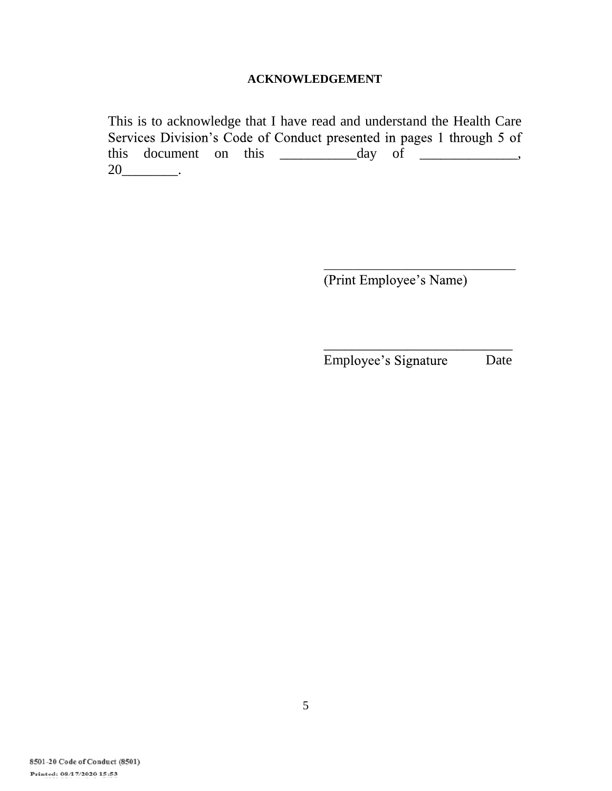# **ACKNOWLEDGEMENT**

This is to acknowledge that I have read and understand the Health Care Services Division's Code of Conduct presented in pages 1 through 5 of this document on this \_\_\_\_\_\_\_\_\_\_\_day of \_\_\_\_\_\_\_\_\_\_\_\_\_\_, 20\_\_\_\_\_\_\_\_\_\_\_.

(Print Employee's Name)

\_\_\_\_\_\_\_\_\_\_\_\_\_\_\_\_\_\_\_\_\_\_\_\_\_\_\_ Employee's Signature Date

\_\_\_\_\_\_\_\_\_\_\_\_\_\_\_\_\_\_\_\_\_\_\_\_\_\_\_\_\_\_\_\_